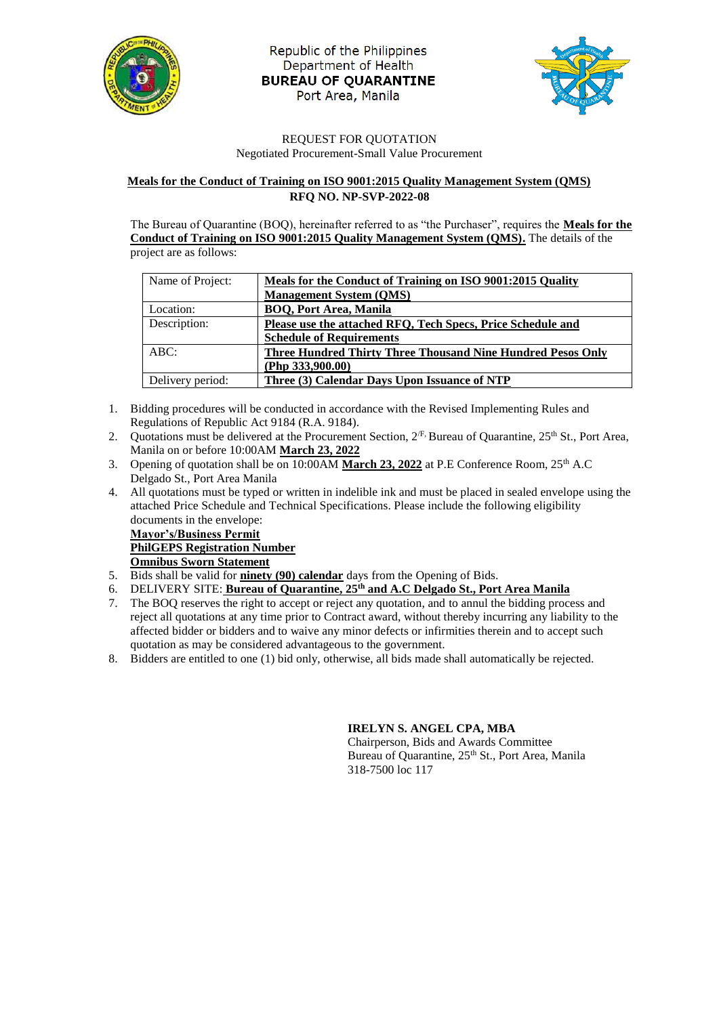

Republic of the Philippines Department of Health **BUREAU OF QUARANTINE** Port Area, Manila



#### REQUEST FOR QUOTATION Negotiated Procurement-Small Value Procurement

#### **Meals for the Conduct of Training on ISO 9001:2015 Quality Management System (QMS) RFQ NO. NP-SVP-2022-08**

The Bureau of Quarantine (BOQ), hereinafter referred to as "the Purchaser", requires the **Meals for the Conduct of Training on ISO 9001:2015 Quality Management System (QMS).** The details of the project are as follows:

| Name of Project: | Meals for the Conduct of Training on ISO 9001:2015 Quality         |  |  |  |
|------------------|--------------------------------------------------------------------|--|--|--|
|                  | <b>Management System (QMS)</b>                                     |  |  |  |
| Location:        | <b>BOO, Port Area, Manila</b>                                      |  |  |  |
| Description:     | Please use the attached RFO, Tech Specs, Price Schedule and        |  |  |  |
|                  | <b>Schedule of Requirements</b>                                    |  |  |  |
| ABC:             | <b>Three Hundred Thirty Three Thousand Nine Hundred Pesos Only</b> |  |  |  |
|                  | (Php $333,900.00$ )                                                |  |  |  |
| Delivery period: | Three (3) Calendar Days Upon Issuance of NTP                       |  |  |  |

- 1. Bidding procedures will be conducted in accordance with the Revised Implementing Rules and Regulations of Republic Act 9184 (R.A. 9184).
- 2. Quotations must be delivered at the Procurement Section,  $2^{fF}$  Bureau of Quarantine,  $25^{th}$  St., Port Area, Manila on or before 10:00AM **March 23, 2022**
- 3. Opening of quotation shall be on 10:00AM March 23, 2022 at P.E Conference Room, 25<sup>th</sup> A.C Delgado St., Port Area Manila
- 4. All quotations must be typed or written in indelible ink and must be placed in sealed envelope using the attached Price Schedule and Technical Specifications. Please include the following eligibility documents in the envelope:

**Mayor's/Business Permit PhilGEPS Registration Number Omnibus Sworn Statement**

- 5. Bids shall be valid for **ninety (90) calendar** days from the Opening of Bids.
- 6. DELIVERY SITE: **Bureau of Quarantine, 25th and A.C Delgado St., Port Area Manila**
- 7. The BOQ reserves the right to accept or reject any quotation, and to annul the bidding process and reject all quotations at any time prior to Contract award, without thereby incurring any liability to the affected bidder or bidders and to waive any minor defects or infirmities therein and to accept such quotation as may be considered advantageous to the government.
- 8. Bidders are entitled to one (1) bid only, otherwise, all bids made shall automatically be rejected.

### **IRELYN S. ANGEL CPA, MBA**

Chairperson, Bids and Awards Committee Bureau of Quarantine, 25<sup>th</sup> St., Port Area, Manila 318-7500 loc 117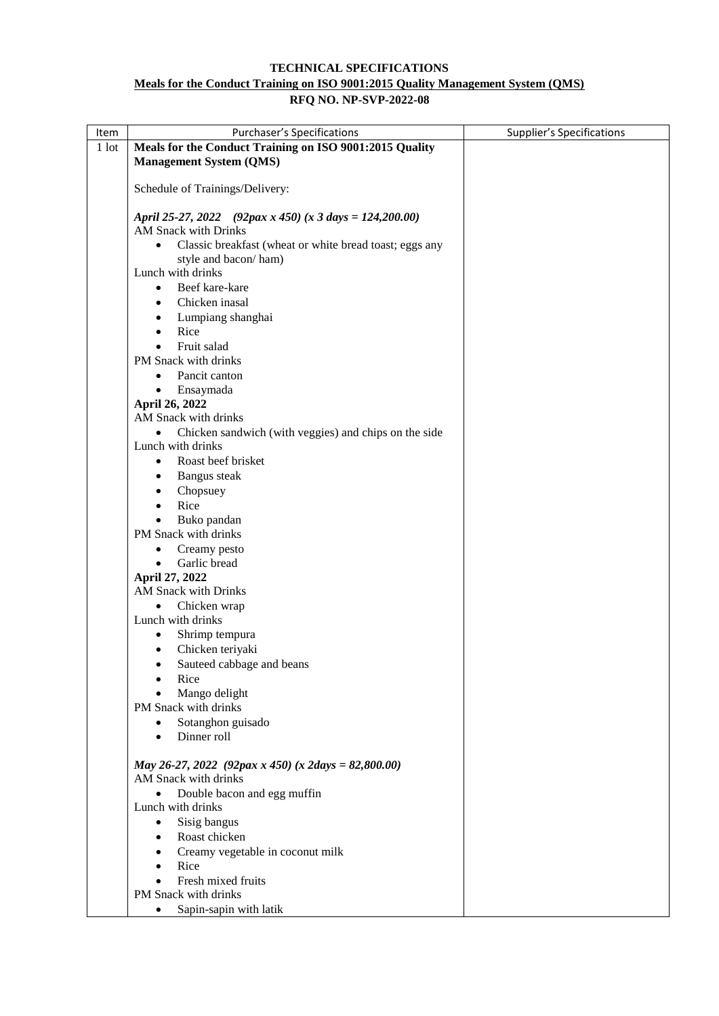### **TECHNICAL SPECIFICATIONS Meals for the Conduct Training on ISO 9001:2015 Quality Management System (QMS) RFQ NO. NP-SVP-2022-08**

| Item    | <b>Purchaser's Specifications</b>                                    | <b>Supplier's Specifications</b> |
|---------|----------------------------------------------------------------------|----------------------------------|
| $1$ lot | Meals for the Conduct Training on ISO 9001:2015 Quality              |                                  |
|         | <b>Management System (QMS)</b>                                       |                                  |
|         |                                                                      |                                  |
|         | Schedule of Trainings/Delivery:                                      |                                  |
|         | April 25-27, 2022 (92pax x 450) (x 3 days = 124,200.00)              |                                  |
|         | <b>AM Snack with Drinks</b>                                          |                                  |
|         | Classic breakfast (wheat or white bread toast; eggs any<br>$\bullet$ |                                  |
|         | style and bacon/ham)                                                 |                                  |
|         | Lunch with drinks                                                    |                                  |
|         | Beef kare-kare<br>$\bullet$                                          |                                  |
|         | Chicken inasal<br>٠                                                  |                                  |
|         | Lumpiang shanghai                                                    |                                  |
|         | Rice<br>$\bullet$                                                    |                                  |
|         | Fruit salad                                                          |                                  |
|         | PM Snack with drinks                                                 |                                  |
|         | Pancit canton                                                        |                                  |
|         | Ensaymada                                                            |                                  |
|         | April 26, 2022                                                       |                                  |
|         | AM Snack with drinks                                                 |                                  |
|         | Chicken sandwich (with veggies) and chips on the side<br>$\bullet$   |                                  |
|         | Lunch with drinks                                                    |                                  |
|         | Roast beef brisket<br>$\bullet$                                      |                                  |
|         | Bangus steak<br>٠                                                    |                                  |
|         | Chopsuey                                                             |                                  |
|         | Rice                                                                 |                                  |
|         | Buko pandan                                                          |                                  |
|         | PM Snack with drinks                                                 |                                  |
|         | Creamy pesto                                                         |                                  |
|         | Garlic bread<br>$\bullet$                                            |                                  |
|         | April 27, 2022                                                       |                                  |
|         | AM Snack with Drinks                                                 |                                  |
|         | Chicken wrap                                                         |                                  |
|         | Lunch with drinks                                                    |                                  |
|         | Shrimp tempura                                                       |                                  |
|         | Chicken teriyaki<br>$\bullet$                                        |                                  |
|         | Sauteed cabbage and beans                                            |                                  |
|         | Rice                                                                 |                                  |
|         | Mango delight                                                        |                                  |
|         | PM Snack with drinks                                                 |                                  |
|         | Sotanghon guisado                                                    |                                  |
|         | Dinner roll<br>$\bullet$                                             |                                  |
|         | May 26-27, 2022 (92pax x 450) (x 2days = 82,800.00)                  |                                  |
|         | AM Snack with drinks                                                 |                                  |
|         | Double bacon and egg muffin                                          |                                  |
|         | Lunch with drinks                                                    |                                  |
|         | Sisig bangus<br>$\bullet$                                            |                                  |
|         | Roast chicken<br>$\bullet$                                           |                                  |
|         | Creamy vegetable in coconut milk                                     |                                  |
|         | Rice                                                                 |                                  |
|         | Fresh mixed fruits                                                   |                                  |
|         | PM Snack with drinks                                                 |                                  |
|         | Sapin-sapin with latik<br>$\bullet$                                  |                                  |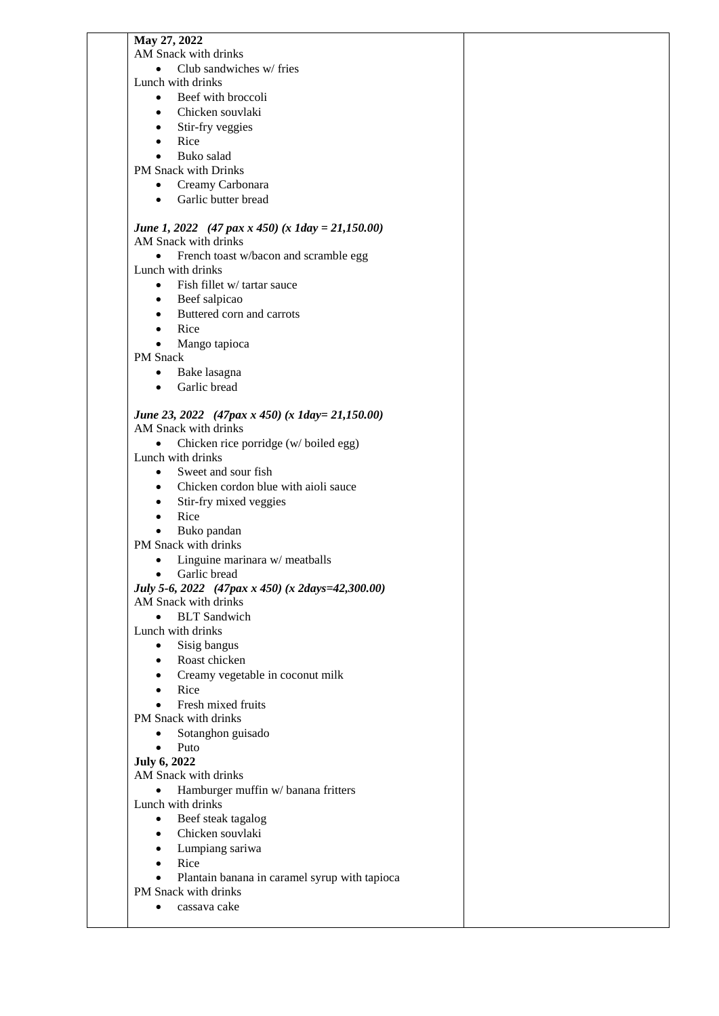| May 27, 2022                                       |  |
|----------------------------------------------------|--|
| AM Snack with drinks                               |  |
| Club sandwiches w/ fries<br>$\bullet$              |  |
| Lunch with drinks                                  |  |
| Beef with broccoli<br>$\bullet$                    |  |
| Chicken souvlaki<br>$\bullet$                      |  |
|                                                    |  |
| Stir-fry veggies<br>$\bullet$                      |  |
| Rice                                               |  |
| Buko salad<br>$\bullet$                            |  |
| PM Snack with Drinks                               |  |
| Creamy Carbonara<br>$\bullet$                      |  |
| Garlic butter bread<br>$\bullet$                   |  |
|                                                    |  |
|                                                    |  |
| June 1, 2022 (47 pax x 450) (x 1day = 21,150.00)   |  |
| AM Snack with drinks                               |  |
| French toast w/bacon and scramble egg<br>$\bullet$ |  |
| Lunch with drinks                                  |  |
| Fish fillet w/ tartar sauce<br>$\bullet$           |  |
| Beef salpicao<br>$\bullet$                         |  |
| Buttered corn and carrots<br>$\bullet$             |  |
| Rice                                               |  |
|                                                    |  |
| Mango tapioca<br>$\bullet$                         |  |
| <b>PM</b> Snack                                    |  |
| Bake lasagna<br>$\bullet$                          |  |
| Garlic bread<br>$\bullet$                          |  |
|                                                    |  |
| June 23, 2022 (47pax x 450) (x 1day= 21,150.00)    |  |
| AM Snack with drinks                               |  |
|                                                    |  |
| Chicken rice porridge (w/ boiled egg)<br>$\bullet$ |  |
| Lunch with drinks                                  |  |
| Sweet and sour fish<br>$\bullet$                   |  |
| Chicken cordon blue with aioli sauce<br>$\bullet$  |  |
| Stir-fry mixed veggies<br>$\bullet$                |  |
| Rice                                               |  |
| Buko pandan<br>$\bullet$                           |  |
| PM Snack with drinks                               |  |
|                                                    |  |
| Linguine marinara w/ meatballs<br>$\bullet$        |  |
| Garlic bread<br>$\bullet$                          |  |
| July 5-6, 2022 (47pax x 450) (x 2days=42,300.00)   |  |
| AM Snack with drinks                               |  |
| <b>BLT</b> Sandwich<br>$\bullet$                   |  |
| Lunch with drinks                                  |  |
| Sisig bangus<br>$\bullet$                          |  |
|                                                    |  |
| Roast chicken<br>$\bullet$                         |  |
| Creamy vegetable in coconut milk<br>٠              |  |
| Rice<br>٠                                          |  |
| Fresh mixed fruits<br>$\bullet$                    |  |
| PM Snack with drinks                               |  |
| Sotanghon guisado<br>$\bullet$                     |  |
| Puto<br>$\bullet$                                  |  |
|                                                    |  |
| <b>July 6, 2022</b>                                |  |
| AM Snack with drinks                               |  |
| Hamburger muffin w/ banana fritters                |  |
| Lunch with drinks                                  |  |
| Beef steak tagalog<br>$\bullet$                    |  |
| Chicken souvlaki<br>$\bullet$                      |  |
| Lumpiang sariwa<br>$\bullet$                       |  |
| Rice<br>$\bullet$                                  |  |
|                                                    |  |
| Plantain banana in caramel syrup with tapioca      |  |
| PM Snack with drinks                               |  |
| cassava cake                                       |  |
|                                                    |  |
|                                                    |  |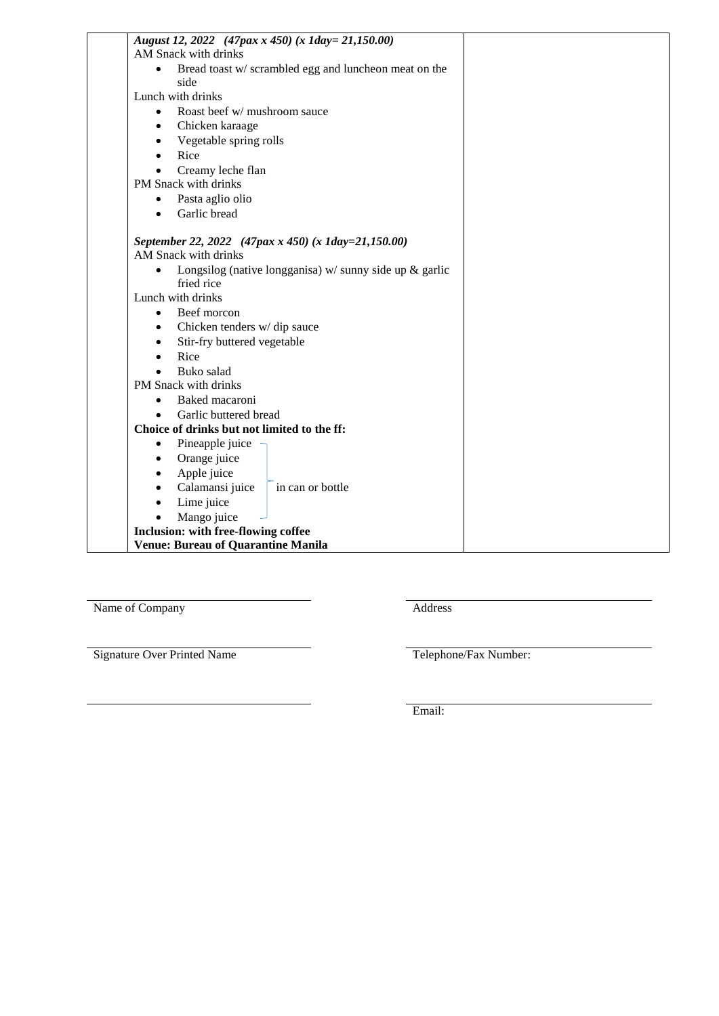| August 12, 2022 (47pax x 450) (x 1day= 21,150.00)                         |  |
|---------------------------------------------------------------------------|--|
| AM Snack with drinks                                                      |  |
| Bread toast w/ scrambled egg and luncheon meat on the<br>$\bullet$        |  |
| side                                                                      |  |
| Lunch with drinks                                                         |  |
| Roast beef w/ mushroom sauce<br>$\bullet$                                 |  |
| Chicken karaage<br>$\bullet$                                              |  |
| Vegetable spring rolls<br>$\bullet$                                       |  |
| Rice<br>$\bullet$                                                         |  |
| Creamy leche flan                                                         |  |
| PM Snack with drinks                                                      |  |
| Pasta aglio olio<br>$\bullet$                                             |  |
| Garlic bread<br>٠                                                         |  |
| September 22, 2022 (47pax x 450) (x 1day=21,150.00)                       |  |
| AM Snack with drinks                                                      |  |
| Longsilog (native longganisa) $w/$ sunny side up $\&$ garlic<br>$\bullet$ |  |
| fried rice                                                                |  |
| Lunch with drinks                                                         |  |
| Beef morcon<br>$\bullet$                                                  |  |
| Chicken tenders w/dip sauce<br>$\bullet$                                  |  |
| Stir-fry buttered vegetable<br>٠                                          |  |
| Rice<br>$\bullet$                                                         |  |
| Buko salad<br>$\bullet$                                                   |  |
| PM Snack with drinks                                                      |  |
| Baked macaroni<br>٠                                                       |  |
| Garlic buttered bread                                                     |  |
| Choice of drinks but not limited to the ff:                               |  |
| Pineapple juice<br>$\bullet$                                              |  |
| Orange juice<br>$\bullet$                                                 |  |
| Apple juice<br>$\bullet$                                                  |  |
| Calamansi juice<br>in can or bottle<br>$\bullet$                          |  |
| Lime juice<br>$\bullet$                                                   |  |
| Mango juice                                                               |  |
| Inclusion: with free-flowing coffee                                       |  |
| Venue: Bureau of Quarantine Manila                                        |  |
|                                                                           |  |

Name of Company Address

Signature Over Printed Name Telephone/Fax Number:

Email: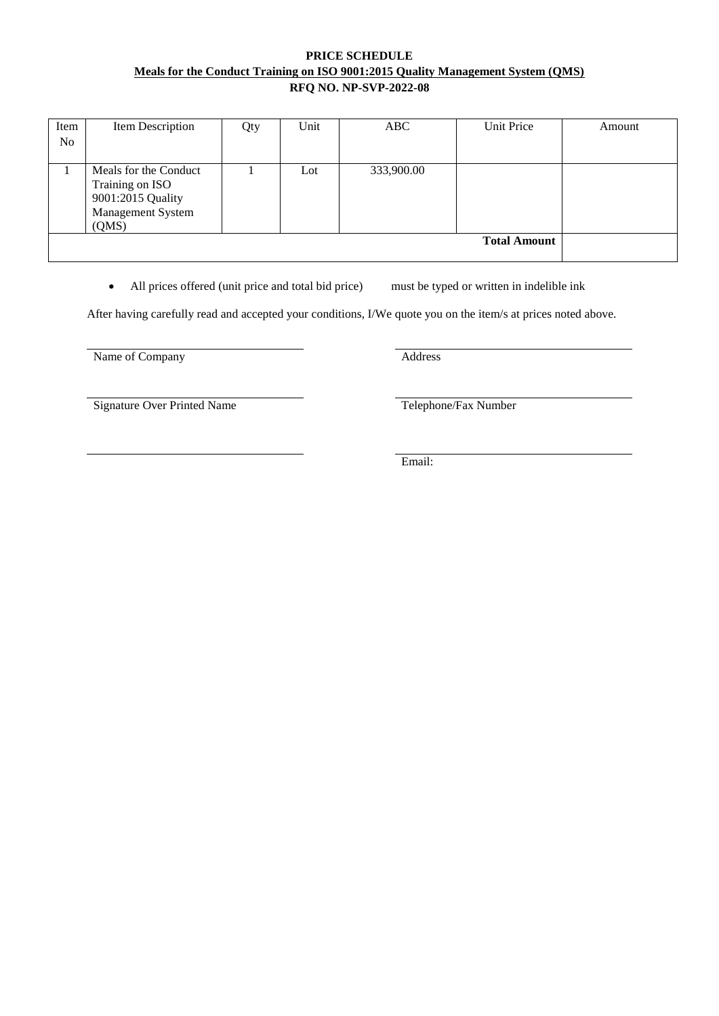# **PRICE SCHEDULE Meals for the Conduct Training on ISO 9001:2015 Quality Management System (QMS) RFQ NO. NP-SVP-2022-08**

| Item<br>No | Item Description                                                                            | Qty | Unit | ABC        | Unit Price          | Amount |
|------------|---------------------------------------------------------------------------------------------|-----|------|------------|---------------------|--------|
|            | Meals for the Conduct<br>Training on ISO<br>9001:2015 Quality<br>Management System<br>(QMS) |     | Lot  | 333,900.00 |                     |        |
|            |                                                                                             |     |      |            | <b>Total Amount</b> |        |

• All prices offered (unit price and total bid price) must be typed or written in indelible ink

After having carefully read and accepted your conditions, I/We quote you on the item/s at prices noted above.

Name of Company Address

Signature Over Printed Name Telephone/Fax Number

Email: